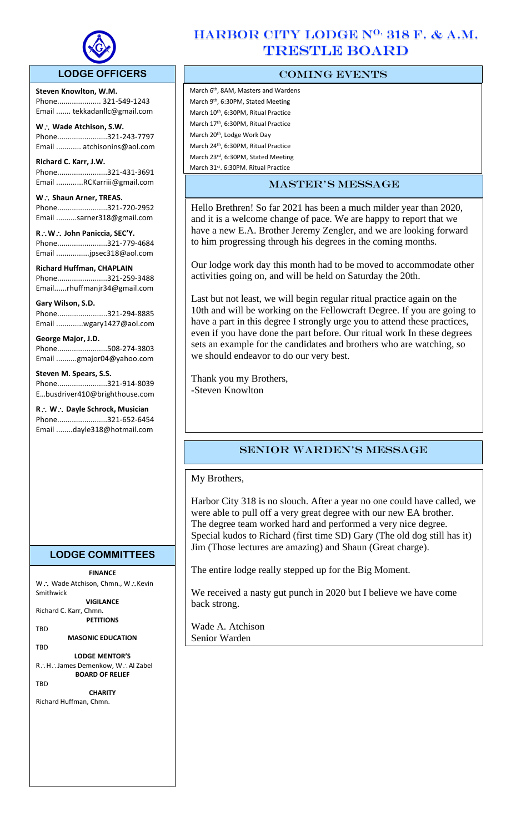

### **LODGE OFFICERS**

**Steven Knowlton, W.M.** Phone..................... 321-549-1243 Email ....... tekkadanllc@gmail.com

 $\overline{a}$ 

**W Wade Atchison, S.W.** Phone........................321-243-7797 Email ............ atchisonins@aol.com

**Richard C. Karr, J.W.**  Phone........................321-431-3691 Email .............RCKarriii@gmail.com

W .: Shaun Arner, TREAS. Phone........................321-720-2952 Email ..........sarner318@gmail.com

**RW John Paniccia, SEC'Y.** Phone........................321-779-4684 Email ................jpsec318@aol.com

**Richard Huffman, CHAPLAIN** Phone........................321-259-3488 Email......rhuffmanjr34@gmail.com

#### **Gary Wilson, S.D.**

Phone........................321-294-8885 Email .............wgary1427@aol.com

#### **George Major, J.D.**

Phone........................508-274-3803 Email ..........gmajor04@yahoo.com

#### **Steven M. Spears, S.S.**

Phone........................321-914-8039 E…busdriver410@brighthouse.com

**R W Dayle Schrock, Musician**  Phone........................321-652-6454 Email ........dayle318@hotmail.com

# HARBOR CITY LODGE N<sup>O.</sup> 318 F. & A.M. TRESTLE BOARD

## COMING EVENTS

March 6<sup>th</sup>, 8AM, Masters and Wardens March 9<sup>th</sup>, 6:30PM, Stated Meeting March 10th, 6:30PM, Ritual Practice March 17th, 6:30PM, Ritual Practice March 20th, Lodge Work Day March 24th, 6:30PM, Ritual Practice March 23rd, 6:30PM, Stated Meeting March 31<sup>st</sup>. 6:30PM. Ritual Practice

## master's message

Hello Brethren! So far 2021 has been a much milder year than 2020, and it is a welcome change of pace. We are happy to report that we have a new E.A. Brother Jeremy Zengler, and we are looking forward to him progressing through his degrees in the coming months.

Our lodge work day this month had to be moved to accommodate other activities going on, and will be held on Saturday the 20th.

Last but not least, we will begin regular ritual practice again on the 10th and will be working on the Fellowcraft Degree. If you are going to have a part in this degree I strongly urge you to attend these practices, even if you have done the part before. Our ritual work In these degrees sets an example for the candidates and brothers who are watching, so we should endeavor to do our very best.

Thank you my Brothers, -Steven Knowlton

## Senior Warden's message

My Brothers,

Harbor City 318 is no slouch. After a year no one could have called, we were able to pull off a very great degree with our new EA brother. The degree team worked hard and performed a very nice degree. Special kudos to Richard (first time SD) Gary (The old dog still has it) Jim (Those lectures are amazing) and Shaun (Great charge).

The entire lodge really stepped up for the Big Moment.

We received a nasty gut punch in 2020 but I believe we have come back strong.

Wade A. Atchison Senior Warden

**LODGE COMMITTEES**

**FINANCE** W .: Wade Atchison, Chmn., W .: Kevin Smithwick

**VIGILANCE**

Richard C. Karr, Chmn. **PETITIONS**

TBD

**MASONIC EDUCATION TRD** 

**LODGE MENTOR'S** R∴H∴James Demenkow, W∴Al Zabel **BOARD OF RELIEF**

**TRD** 

**CHARITY** Richard Huffman, Chmn.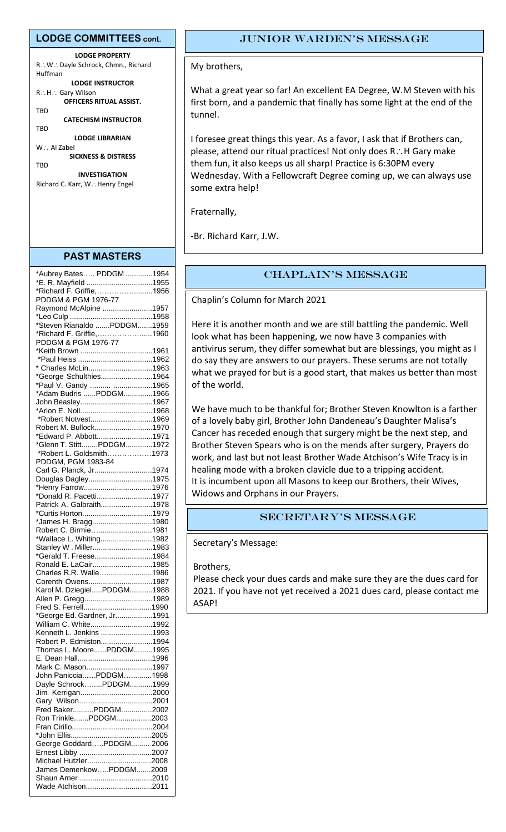#### **LODGE COMMITTEES cont.**

**LODGE PROPERTY** R∴W∴Dayle Schrock, Chmn., Richard Huffman **LODGE INSTRUCTOR** R∴H∴ Gary Wilson **OFFICERS RITUAL ASSIST.** TBD **CATECHISM INSTRUCTOR** TBD **LODGE LIBRARIAN**  $W :$  Al Zabel

**SICKNESS & DISTRESS TRD** 

**INVESTIGATION** Richard C. Karr, W∴Henry Engel

#### **PAST MASTERS**

| *Aubrey Bates PDDGM 1954                        |  |
|-------------------------------------------------|--|
| *E. R. Mayfield 1955                            |  |
| *Richard F. Griffie1956                         |  |
| PDDGM & PGM 1976-77                             |  |
| Raymond McAlpine 1957                           |  |
|                                                 |  |
| *Steven Rianaldo PDDGM1959                      |  |
|                                                 |  |
| *Richard F. Griffie,1960<br>PDDGM & PGM 1976-77 |  |
| PDDGM & PGM 1976-77<br>*Keith Brown 1961        |  |
|                                                 |  |
|                                                 |  |
| * Charles McLin1963                             |  |
| *George Schulthies1964                          |  |
| *Paul V. Gandy  1965                            |  |
| *Adam Budris PDDGM1966                          |  |
| John Beasley1967                                |  |
|                                                 |  |
| *Robert Notvest1969                             |  |
| Robert M. Bullock1970                           |  |
| *Edward P. Abbott1971                           |  |
| *Glenn T. StittPDDGM1972                        |  |
| *Robert L. Goldsmith1973                        |  |
| PDDGM, PGM 1983-84                              |  |
| Carl G. Planck, Jr1974                          |  |
| Douglas Dagley1975                              |  |
|                                                 |  |
| *Henry Farrow1976<br>*Donald R. Pacetti1977     |  |
|                                                 |  |
| Patrick A. Galbraith1978                        |  |
|                                                 |  |
| *James H. Bragg1980                             |  |
| Robert C. Birmie1981                            |  |
| *Wallace L. Whiting1982                         |  |
| Stanley W. Miller1983                           |  |
| *Gerald T. Freese1984                           |  |
| Ronald E. LaCair1985                            |  |
| Charles R.R. Walle1986                          |  |
| Corenth Owens1987                               |  |
| Karol M. DziegielPDDGM1988                      |  |
| Allen P. Gregg1989                              |  |
|                                                 |  |
| *George Ed. Gardner, Jr1991                     |  |
| William C. White1992                            |  |
| Kenneth L. Jenkins 1993                         |  |
| Robert P. Edmiston1994                          |  |
| Thomas L. MoorePDDGM1995                        |  |
|                                                 |  |
| Mark C. Mason1997                               |  |
| John PanicciaPDDGM1998                          |  |
| Dayle SchrockPDDGM1999                          |  |
|                                                 |  |
|                                                 |  |
|                                                 |  |
| Fred BakerPDDGM2002                             |  |
| Ron TrinklePDDGM2003                            |  |
|                                                 |  |
|                                                 |  |
| George GoddardPDDGM 2006                        |  |
|                                                 |  |
| Michael Hutzler2008                             |  |
| James DemenkowPDDGM2009                         |  |
|                                                 |  |
| Wade Atchison2011                               |  |

#### JUnior Warden's message

My brothers,

What a great year so far! An excellent EA Degree, W.M Steven with his first born, and a pandemic that finally has some light at the end of the tunnel.

I foresee great things this year. As a favor, I ask that if Brothers can, please, attend our ritual practices! Not only does R.: H Gary make them fun, it also keeps us all sharp! Practice is 6:30PM every Wednesday. With a Fellowcraft Degree coming up, we can always use some extra help!

Fraternally,

-Br. Richard Karr, J.W.

## CHAPLAIN's message

Chaplin's Column for March 2021

Here it is another month and we are still battling the pandemic. Well look what has been happening, we now have 3 companies with antivirus serum, they differ somewhat but are blessings, you might as I do say they are answers to our prayers. These serums are not totally what we prayed for but is a good start, that makes us better than most of the world.

We have much to be thankful for; Brother Steven Knowlton is a farther of a lovely baby girl, Brother John Dandeneau's Daughter Malisa's Cancer has receded enough that surgery might be the next step, and Brother Steven Spears who is on the mends after surgery, Prayers do work, and last but not least Brother Wade Atchison's Wife Tracy is in healing mode with a broken clavicle due to a tripping accident. It is incumbent upon all Masons to keep our Brothers, their Wives, Widows and Orphans in our Prayers.

## SECRETARY's message

Secretary's Message:

Brothers,

Please check your dues cards and make sure they are the dues card for 2021. If you have not yet received a 2021 dues card, please contact me ASAP!